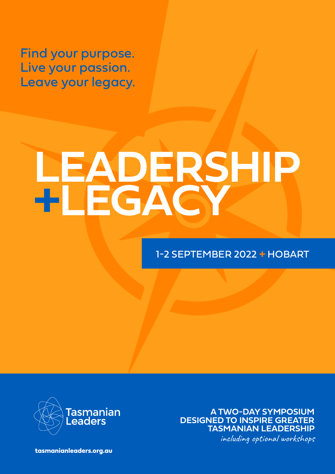Find your purpose. Live your passion. Leave your legacy.

# **LEADERSHIP +LEGACY**

# 1-2 SEPTEMBER 2022 **+** HOBART



**A TWO-DAY SYMPOSIUM DESIGNED TO INSPIRE GREATER TASMANIAN LEADERSHIP** including optional workshops

**[tasmanianleaders.org.au](http://tasmanianleaders.org.au)**